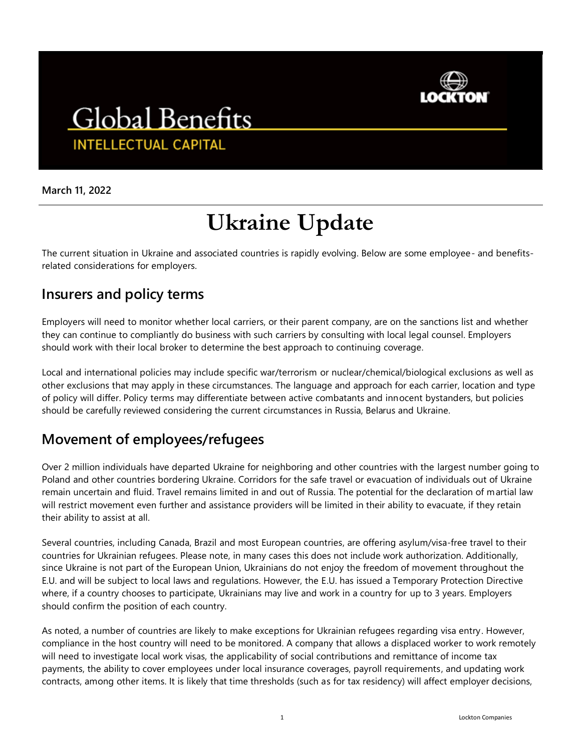

## **Global Benefits INTELLECTUAL CAPITAL**

**March 11, 2022**

# **Ukraine Update**

The current situation in Ukraine and associated countries is rapidly evolving. Below are some employee- and benefitsrelated considerations for employers.

### **Insurers and policy terms**

Employers will need to monitor whether local carriers, or their parent company, are on the sanctions list and whether they can continue to compliantly do business with such carriers by consulting with local legal counsel. Employers should work with their local broker to determine the best approach to continuing coverage.

Local and international policies may include specific war/terrorism or nuclear/chemical/biological exclusions as well as other exclusions that may apply in these circumstances. The language and approach for each carrier, location and type of policy will differ. Policy terms may differentiate between active combatants and innocent bystanders, but policies should be carefully reviewed considering the current circumstances in Russia, Belarus and Ukraine.

### **Movement of employees/refugees**

Over 2 million individuals have departed Ukraine for neighboring and other countries with the largest number going to Poland and other countries bordering Ukraine. Corridors for the safe travel or evacuation of individuals out of Ukraine remain uncertain and fluid. Travel remains limited in and out of Russia. The potential for the declaration of martial law will restrict movement even further and assistance providers will be limited in their ability to evacuate, if they retain their ability to assist at all.

Several countries, including Canada, Brazil and most European countries, are offering asylum/visa-free travel to their countries for Ukrainian refugees. Please note, in many cases this does not include work authorization. Additionally, since Ukraine is not part of the European Union, Ukrainians do not enjoy the freedom of movement throughout the E.U. and will be subject to local laws and regulations. However, the E.U. has issued a Temporary Protection Directive where, if a country chooses to participate, Ukrainians may live and work in a country for up to 3 years. Employers should confirm the position of each country.

As noted, a number of countries are likely to make exceptions for Ukrainian refugees regarding visa entry. However, compliance in the host country will need to be monitored. A company that allows a displaced worker to work remotely will need to investigate local work visas, the applicability of social contributions and remittance of income tax payments, the ability to cover employees under local insurance coverages, payroll requirements, and updating work contracts, among other items. It is likely that time thresholds (such as for tax residency) will affect employer decisions,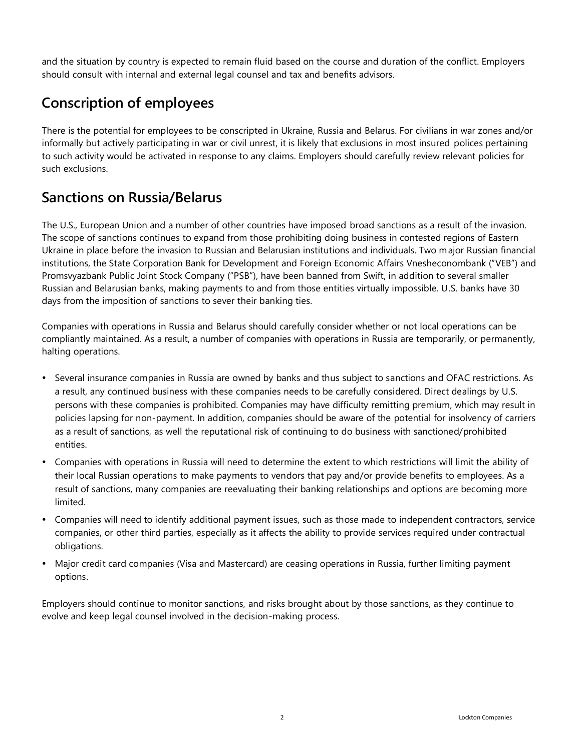and the situation by country is expected to remain fluid based on the course and duration of the conflict. Employers should consult with internal and external legal counsel and tax and benefits advisors.

### **Conscription of employees**

There is the potential for employees to be conscripted in Ukraine, Russia and Belarus. For civilians in war zones and/or informally but actively participating in war or civil unrest, it is likely that exclusions in most insured polices pertaining to such activity would be activated in response to any claims. Employers should carefully review relevant policies for such exclusions.

### **Sanctions on Russia/Belarus**

The U.S., European Union and a number of other countries have imposed broad sanctions as a result of the invasion. The scope of sanctions continues to expand from those prohibiting doing business in contested regions of Eastern Ukraine in place before the invasion to Russian and Belarusian institutions and individuals. Two major Russian financial institutions, the State Corporation Bank for Development and Foreign Economic Affairs Vnesheconombank ("VEB") and Promsvyazbank Public Joint Stock Company ("PSB"), have been banned from Swift, in addition to several smaller Russian and Belarusian banks, making payments to and from those entities virtually impossible. U.S. banks have 30 days from the imposition of sanctions to sever their banking ties.

Companies with operations in Russia and Belarus should carefully consider whether or not local operations can be compliantly maintained. As a result, a number of companies with operations in Russia are temporarily, or permanently, halting operations.

- Several insurance companies in Russia are owned by banks and thus subject to sanctions and OFAC restrictions. As a result, any continued business with these companies needs to be carefully considered. Direct dealings by U.S. persons with these companies is prohibited. Companies may have difficulty remitting premium, which may result in policies lapsing for non-payment. In addition, companies should be aware of the potential for insolvency of carriers as a result of sanctions, as well the reputational risk of continuing to do business with sanctioned/prohibited entities.
- Companies with operations in Russia will need to determine the extent to which restrictions will limit the ability of their local Russian operations to make payments to vendors that pay and/or provide benefits to employees. As a result of sanctions, many companies are reevaluating their banking relationships and options are becoming more limited.
- Companies will need to identify additional payment issues, such as those made to independent contractors, service companies, or other third parties, especially as it affects the ability to provide services required under contractual obligations.
- Major credit card companies (Visa and Mastercard) are ceasing operations in Russia, further limiting payment options.

Employers should continue to monitor sanctions, and risks brought about by those sanctions, as they continue to evolve and keep legal counsel involved in the decision-making process.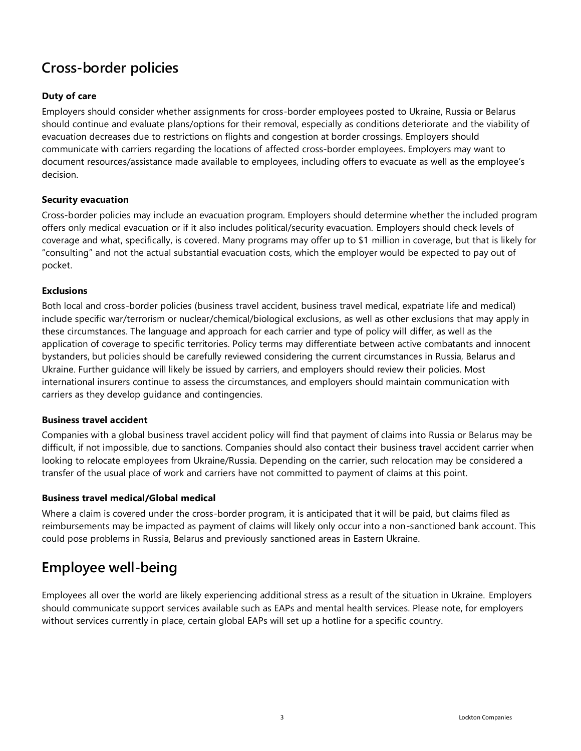### **Cross-border policies**

#### **Duty of care**

Employers should consider whether assignments for cross-border employees posted to Ukraine, Russia or Belarus should continue and evaluate plans/options for their removal, especially as conditions deteriorate and the viability of evacuation decreases due to restrictions on flights and congestion at border crossings. Employers should communicate with carriers regarding the locations of affected cross-border employees. Employers may want to document resources/assistance made available to employees, including offers to evacuate as well as the employee's decision.

#### **Security evacuation**

Cross-border policies may include an evacuation program. Employers should determine whether the included program offers only medical evacuation or if it also includes political/security evacuation. Employers should check levels of coverage and what, specifically, is covered. Many programs may offer up to \$1 million in coverage, but that is likely for "consulting" and not the actual substantial evacuation costs, which the employer would be expected to pay out of pocket.

#### **Exclusions**

Both local and cross-border policies (business travel accident, business travel medical, expatriate life and medical) include specific war/terrorism or nuclear/chemical/biological exclusions, as well as other exclusions that may apply in these circumstances. The language and approach for each carrier and type of policy will differ, as well as the application of coverage to specific territories. Policy terms may differentiate between active combatants and innocent bystanders, but policies should be carefully reviewed considering the current circumstances in Russia, Belarus and Ukraine. Further guidance will likely be issued by carriers, and employers should review their policies. Most international insurers continue to assess the circumstances, and employers should maintain communication with carriers as they develop guidance and contingencies.

#### **Business travel accident**

Companies with a global business travel accident policy will find that payment of claims into Russia or Belarus may be difficult, if not impossible, due to sanctions. Companies should also contact their business travel accident carrier when looking to relocate employees from Ukraine/Russia. Depending on the carrier, such relocation may be considered a transfer of the usual place of work and carriers have not committed to payment of claims at this point.

#### **Business travel medical/Global medical**

Where a claim is covered under the cross-border program, it is anticipated that it will be paid, but claims filed as reimbursements may be impacted as payment of claims will likely only occur into a non-sanctioned bank account. This could pose problems in Russia, Belarus and previously sanctioned areas in Eastern Ukraine.

### **Employee well-being**

Employees all over the world are likely experiencing additional stress as a result of the situation in Ukraine. Employers should communicate support services available such as EAPs and mental health services. Please note, for employers without services currently in place, certain global EAPs will set up a hotline for a specific country.